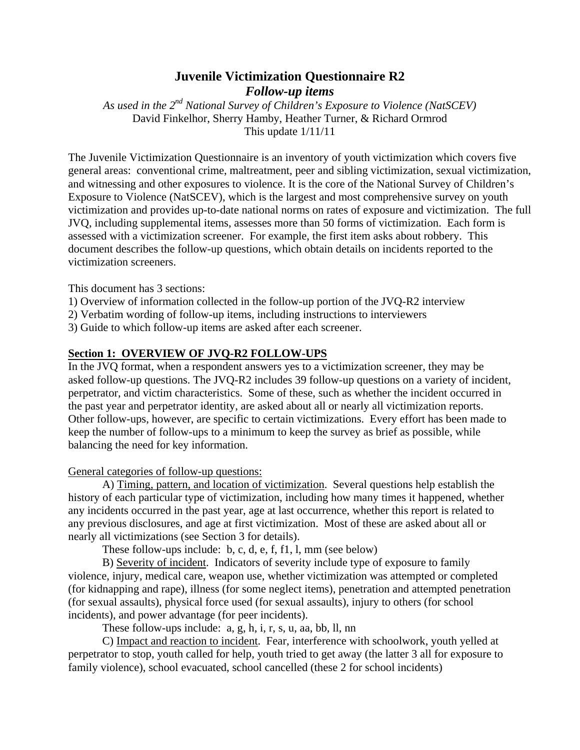## **Juvenile Victimization Questionnaire R2**

*Follow-up items*

*As used in the 2nd National Survey of Children's Exposure to Violence (NatSCEV)* David Finkelhor, Sherry Hamby, Heather Turner, & Richard Ormrod This update 1/11/11

The Juvenile Victimization Questionnaire is an inventory of youth victimization which covers five general areas: conventional crime, maltreatment, peer and sibling victimization, sexual victimization, and witnessing and other exposures to violence. It is the core of the National Survey of Children's Exposure to Violence (NatSCEV), which is the largest and most comprehensive survey on youth victimization and provides up-to-date national norms on rates of exposure and victimization. The full JVQ, including supplemental items, assesses more than 50 forms of victimization. Each form is assessed with a victimization screener. For example, the first item asks about robbery. This document describes the follow-up questions, which obtain details on incidents reported to the victimization screeners.

This document has 3 sections:

- 1) Overview of information collected in the follow-up portion of the JVQ-R2 interview
- 2) Verbatim wording of follow-up items, including instructions to interviewers

3) Guide to which follow-up items are asked after each screener.

#### **Section 1: OVERVIEW OF JVQ-R2 FOLLOW-UPS**

In the JVQ format, when a respondent answers yes to a victimization screener, they may be asked follow-up questions. The JVQ-R2 includes 39 follow-up questions on a variety of incident, perpetrator, and victim characteristics. Some of these, such as whether the incident occurred in the past year and perpetrator identity, are asked about all or nearly all victimization reports. Other follow-ups, however, are specific to certain victimizations. Every effort has been made to keep the number of follow-ups to a minimum to keep the survey as brief as possible, while balancing the need for key information.

General categories of follow-up questions:

 A) Timing, pattern, and location of victimization. Several questions help establish the history of each particular type of victimization, including how many times it happened, whether any incidents occurred in the past year, age at last occurrence, whether this report is related to any previous disclosures, and age at first victimization. Most of these are asked about all or nearly all victimizations (see Section 3 for details).

These follow-ups include: b, c, d, e, f, f1, l, mm (see below)

 B) Severity of incident. Indicators of severity include type of exposure to family violence, injury, medical care, weapon use, whether victimization was attempted or completed (for kidnapping and rape), illness (for some neglect items), penetration and attempted penetration (for sexual assaults), physical force used (for sexual assaults), injury to others (for school incidents), and power advantage (for peer incidents).

These follow-ups include: a, g, h, i, r, s, u, aa, bb, ll, nn

 C) Impact and reaction to incident. Fear, interference with schoolwork, youth yelled at perpetrator to stop, youth called for help, youth tried to get away (the latter 3 all for exposure to family violence), school evacuated, school cancelled (these 2 for school incidents)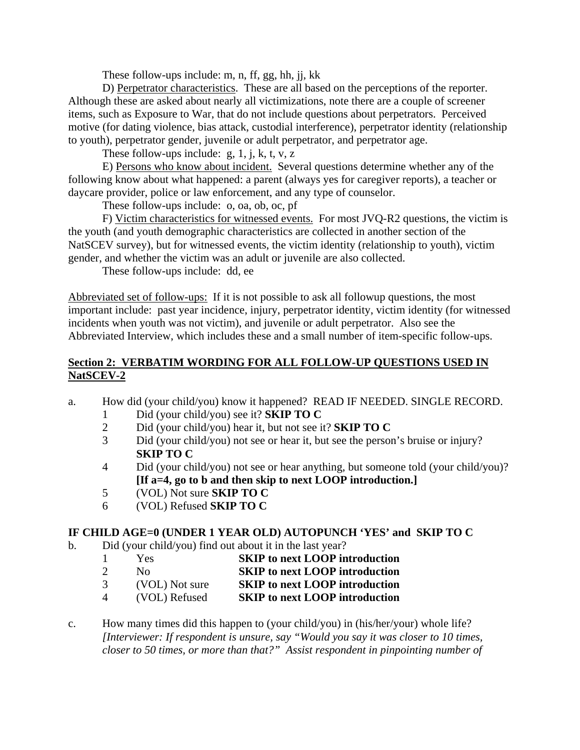These follow-ups include: m, n, ff, gg, hh, jj, kk

 D) Perpetrator characteristics. These are all based on the perceptions of the reporter. Although these are asked about nearly all victimizations, note there are a couple of screener items, such as Exposure to War, that do not include questions about perpetrators. Perceived motive (for dating violence, bias attack, custodial interference), perpetrator identity (relationship to youth), perpetrator gender, juvenile or adult perpetrator, and perpetrator age.

These follow-ups include:  $g$ , 1, j, k, t, v, z

 E) Persons who know about incident. Several questions determine whether any of the following know about what happened: a parent (always yes for caregiver reports), a teacher or daycare provider, police or law enforcement, and any type of counselor.

These follow-ups include: o, oa, ob, oc, pf

 F) Victim characteristics for witnessed events. For most JVQ-R2 questions, the victim is the youth (and youth demographic characteristics are collected in another section of the NatSCEV survey), but for witnessed events, the victim identity (relationship to youth), victim gender, and whether the victim was an adult or juvenile are also collected.

These follow-ups include: dd, ee

Abbreviated set of follow-ups: If it is not possible to ask all followup questions, the most important include: past year incidence, injury, perpetrator identity, victim identity (for witnessed incidents when youth was not victim), and juvenile or adult perpetrator. Also see the Abbreviated Interview, which includes these and a small number of item-specific follow-ups.

### **Section 2: VERBATIM WORDING FOR ALL FOLLOW-UP QUESTIONS USED IN NatSCEV-2**

- a. How did (your child/you) know it happened? READ IF NEEDED. SINGLE RECORD.
	- 1 Did (your child/you) see it? **SKIP TO C**
	- 2 Did (your child/you) hear it, but not see it? **SKIP TO C**
	- 3 Did (your child/you) not see or hear it, but see the person's bruise or injury? **SKIP TO C**
	- 4 Did (your child/you) not see or hear anything, but someone told (your child/you)? **[If a=4, go to b and then skip to next LOOP introduction.]**
	- 5 (VOL) Not sure **SKIP TO C**
	- 6 (VOL) Refused **SKIP TO C**

### **IF CHILD AGE=0 (UNDER 1 YEAR OLD) AUTOPUNCH 'YES' and SKIP TO C**

- b. Did (your child/you) find out about it in the last year?
	- 1 Yes **SKIP to next LOOP introduction**
	- 2 No **SKIP to next LOOP introduction**
	- 3 (VOL) Not sure **SKIP to next LOOP introduction**
	- 4 (VOL) Refused **SKIP to next LOOP introduction**
- c. How many times did this happen to (your child/you) in (his/her/your) whole life? *[Interviewer: If respondent is unsure, say "Would you say it was closer to 10 times, closer to 50 times, or more than that?" Assist respondent in pinpointing number of*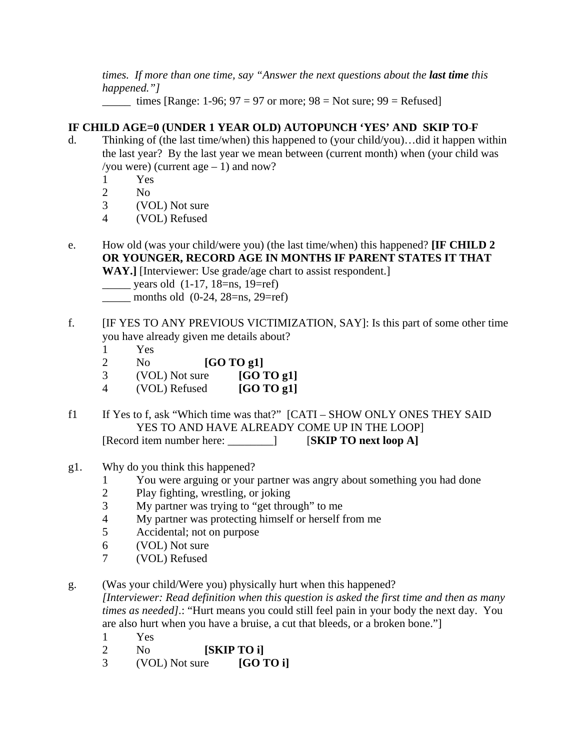*times. If more than one time, say "Answer the next questions about the last time this happened."]* 

 $\frac{1}{2}$  times [Range: 1-96; 97 = 97 or more; 98 = Not sure; 99 = Refused]

## **IF CHILD AGE=0 (UNDER 1 YEAR OLD) AUTOPUNCH 'YES' AND SKIP TO F**

- d. Thinking of (the last time/when) this happened to (your child/you)…did it happen within the last year? By the last year we mean between (current month) when (your child was /you were) (current age  $-1$ ) and now?
	- 1 Yes
	- 2 No
	- 3 (VOL) Not sure
	- 4 (VOL) Refused
- e. How old (was your child/were you) (the last time/when) this happened? **[IF CHILD 2 OR YOUNGER, RECORD AGE IN MONTHS IF PARENT STATES IT THAT**

**WAY.]** [Interviewer: Use grade/age chart to assist respondent.]

- $\frac{\ }{2}$  years old (1-17, 18=ns, 19=ref)
- \_\_\_\_\_ months old (0-24, 28=ns, 29=ref)
- f. [IF YES TO ANY PREVIOUS VICTIMIZATION, SAY]: Is this part of some other time you have already given me details about?
	- 1 Yes
	- 2 No **[GO TO g1]**
	- 3 (VOL) Not sure **[GO TO g1]**
	- 4 (VOL) Refused **[GO TO g1]**
- f1 If Yes to f, ask "Which time was that?" [CATI SHOW ONLY ONES THEY SAID YES TO AND HAVE ALREADY COME UP IN THE LOOP] [Record item number here: \_\_\_\_\_\_\_\_] [**SKIP TO next loop A]**
- g1. Why do you think this happened?
	- 1 You were arguing or your partner was angry about something you had done
	- 2 Play fighting, wrestling, or joking
	- 3 My partner was trying to "get through" to me
	- 4 My partner was protecting himself or herself from me
	- 5 Accidental; not on purpose
	- 6 (VOL) Not sure
	- 7 (VOL) Refused
- g. (Was your child/Were you) physically hurt when this happened?

*[Interviewer: Read definition when this question is asked the first time and then as many times as needed].*: "Hurt means you could still feel pain in your body the next day. You are also hurt when you have a bruise, a cut that bleeds, or a broken bone."]

- 1 Yes
- 2 No **[SKIP TO i]**
- 3 (VOL) Not sure **[GO TO i]**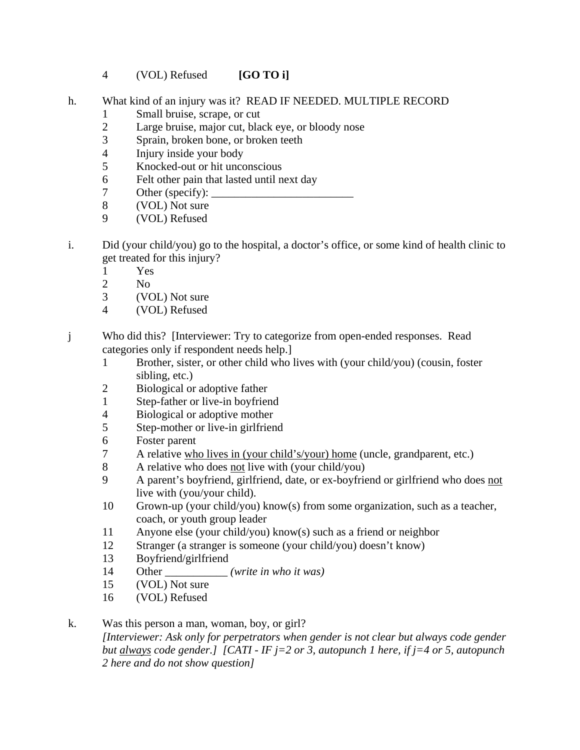- 4 (VOL) Refused **[GO TO i]**
- h. What kind of an injury was it? READ IF NEEDED. MULTIPLE RECORD
	- 1 Small bruise, scrape, or cut
	- 2 Large bruise, major cut, black eye, or bloody nose
	- 3 Sprain, broken bone, or broken teeth
	- 4 Injury inside your body
	- 5 Knocked-out or hit unconscious
	- 6 Felt other pain that lasted until next day
	- 7 Other (specify):  $\Box$
	- 8 (VOL) Not sure
	- 9 (VOL) Refused
- i. Did (your child/you) go to the hospital, a doctor's office, or some kind of health clinic to get treated for this injury?
	- 1 Yes
	- 2 No
	- 3 (VOL) Not sure
	- 4 (VOL) Refused
- j Who did this? [Interviewer: Try to categorize from open-ended responses. Read categories only if respondent needs help.]
	- 1 Brother, sister, or other child who lives with (your child/you) (cousin, foster sibling, etc.)
	- 2 Biological or adoptive father
	- 1 Step-father or live-in boyfriend
	- 4 Biological or adoptive mother
	- 5 Step-mother or live-in girlfriend
	- 6 Foster parent
	- 7 A relative who lives in (your child's/your) home (uncle, grandparent, etc.)
	- 8 A relative who does not live with (your child/you)
	- 9 A parent's boyfriend, girlfriend, date, or ex-boyfriend or girlfriend who does not live with (you/your child).
	- 10 Grown-up (your child/you) know(s) from some organization, such as a teacher, coach, or youth group leader
	- 11 Anyone else (your child/you) know(s) such as a friend or neighbor
	- 12 Stranger (a stranger is someone (your child/you) doesn't know)
	- 13 Boyfriend/girlfriend
	- 14 Other \_\_\_\_\_\_\_\_\_\_\_ *(write in who it was)*
	- 15 (VOL) Not sure
	- 16 (VOL) Refused

#### k. Was this person a man, woman, boy, or girl? *[Interviewer: Ask only for perpetrators when gender is not clear but always code gender but always code gender.] [CATI - IF j=2 or 3, autopunch 1 here, if j=4 or 5, autopunch 2 here and do not show question]*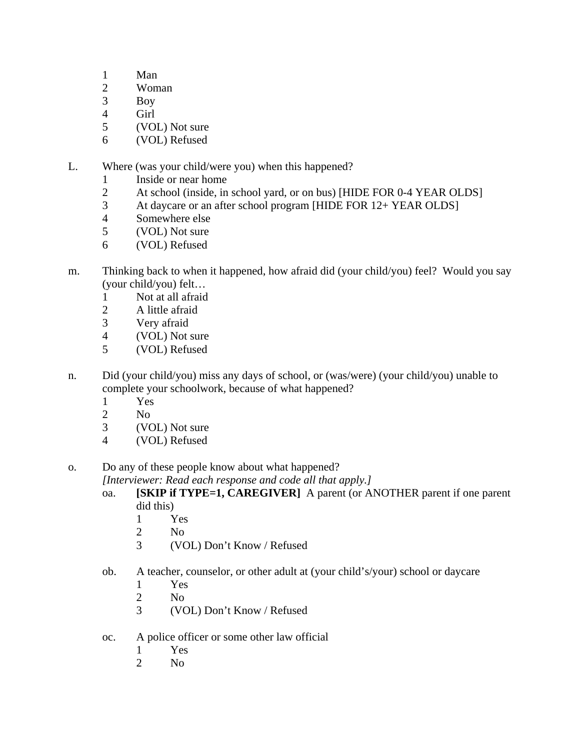- 1 Man
- 2 Woman
- 3 Boy
- 4 Girl
- 5 (VOL) Not sure
- 6 (VOL) Refused

L. Where (was your child/were you) when this happened?

- 1 Inside or near home
- 2 At school (inside, in school yard, or on bus) [HIDE FOR 0-4 YEAR OLDS]
- 3 At daycare or an after school program [HIDE FOR 12+ YEAR OLDS]
- 4 Somewhere else
- 5 (VOL) Not sure
- 6 (VOL) Refused
- m. Thinking back to when it happened, how afraid did (your child/you) feel? Would you say (your child/you) felt…
	- 1 Not at all afraid
	- 2 A little afraid
	- 3 Very afraid
	- 4 (VOL) Not sure
	- 5 (VOL) Refused
- n. Did (your child/you) miss any days of school, or (was/were) (your child/you) unable to complete your schoolwork, because of what happened?
	- 1 Yes
	- 2 No
	- 3 (VOL) Not sure
	- 4 (VOL) Refused

o. Do any of these people know about what happened?

 *[Interviewer: Read each response and code all that apply.]* 

- oa. **[SKIP if TYPE=1, CAREGIVER]** A parent (or ANOTHER parent if one parent did this)
	- 1 Yes
	- 2 No
	- 3 (VOL) Don't Know / Refused
- ob. A teacher, counselor, or other adult at (your child's/your) school or daycare
	- 1 Yes
	- 2 No
	- 3 (VOL) Don't Know / Refused
- oc. A police officer or some other law official
	- 1 Yes
	- 2 No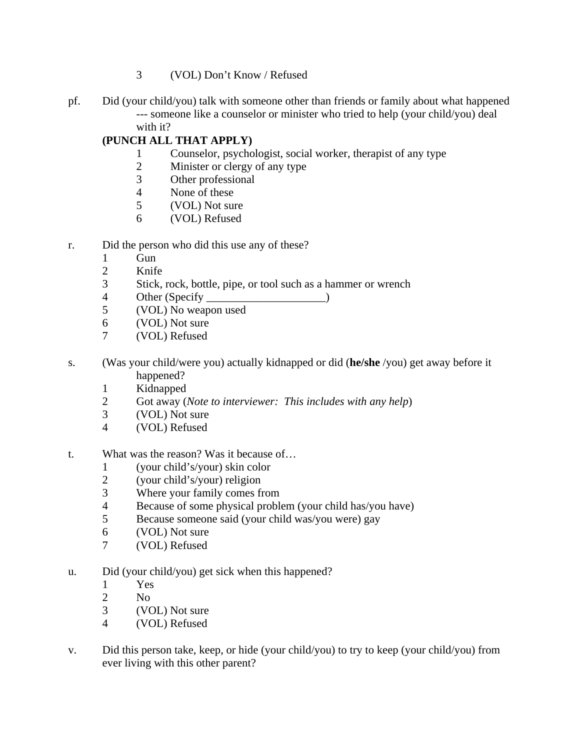- 3 (VOL) Don't Know / Refused
- pf. Did (your child/you) talk with someone other than friends or family about what happened --- someone like a counselor or minister who tried to help (your child/you) deal with it?

## **(PUNCH ALL THAT APPLY)**

- 1 Counselor, psychologist, social worker, therapist of any type
- 2 Minister or clergy of any type
- 3 Other professional
- 4 None of these
- 5 (VOL) Not sure
- 6 (VOL) Refused
- r. Did the person who did this use any of these?
	- 1 Gun
	- 2 Knife
	- 3 Stick, rock, bottle, pipe, or tool such as a hammer or wrench
	- 4 Other (Specify \_\_\_\_\_\_\_\_\_\_\_\_\_\_\_\_\_\_\_\_\_)
	- 5 (VOL) No weapon used
	- 6 (VOL) Not sure
	- 7 (VOL) Refused
- s. (Was your child/were you) actually kidnapped or did (**he/she** /you) get away before it happened?
	- 1 Kidnapped
	- 2 Got away (*Note to interviewer: This includes with any help*)
	- 3 (VOL) Not sure
	- 4 (VOL) Refused
- t. What was the reason? Was it because of…
	- 1 (your child's/your) skin color
	- 2 (your child's/your) religion<br>3 Where your family comes fi
	- Where your family comes from
	- 4 Because of some physical problem (your child has/you have)
	- 5 Because someone said (your child was/you were) gay
	- 6 (VOL) Not sure
	- 7 (VOL) Refused
- u. Did (your child/you) get sick when this happened?
	- 1 Yes
	- 2 No
	- 3 (VOL) Not sure
	- 4 (VOL) Refused
- v. Did this person take, keep, or hide (your child/you) to try to keep (your child/you) from ever living with this other parent?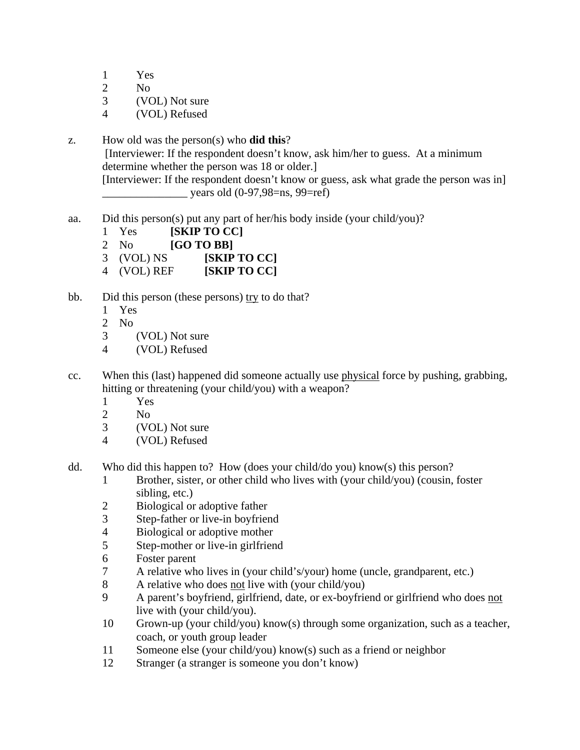1 Yes

- 2 No
- 3 (VOL) Not sure
- 4 (VOL) Refused
- z. How old was the person(s) who **did this**? [Interviewer: If the respondent doesn't know, ask him/her to guess. At a minimum determine whether the person was 18 or older.] [Interviewer: If the respondent doesn't know or guess, ask what grade the person was in]  $\mu$  years old (0-97,98=ns, 99=ref)
- aa. Did this person(s) put any part of her/his body inside (your child/you)?
	- 1 Yes **[SKIP TO CC]**
	- 2 No **[GO TO BB]**
	- 3 (VOL) NS **[SKIP TO CC]**
	- 4 (VOL) REF **[SKIP TO CC]**
- bb. Did this person (these persons) try to do that?
	- 1 Yes
	- 2 No
	- 3 (VOL) Not sure
	- 4 (VOL) Refused
- cc. When this (last) happened did someone actually use physical force by pushing, grabbing, hitting or threatening (your child/you) with a weapon?
	- 1 Yes
	- 2 No
	- 3 (VOL) Not sure
	- 4 (VOL) Refused
- dd. Who did this happen to? How (does your child/do you) know(s) this person?
	- 1 Brother, sister, or other child who lives with (your child/you) (cousin, foster sibling, etc.)
	- 2 Biological or adoptive father
	- 3 Step-father or live-in boyfriend
	- 4 Biological or adoptive mother
	- 5 Step-mother or live-in girlfriend
	- 6 Foster parent
	- 7 A relative who lives in (your child's/your) home (uncle, grandparent, etc.)
	- 8 A relative who does not live with (your child/you)
	- 9 A parent's boyfriend, girlfriend, date, or ex-boyfriend or girlfriend who does not live with (your child/you).
	- 10 Grown-up (your child/you) know(s) through some organization, such as a teacher, coach, or youth group leader
	- 11 Someone else (your child/you) know(s) such as a friend or neighbor
	- 12 Stranger (a stranger is someone you don't know)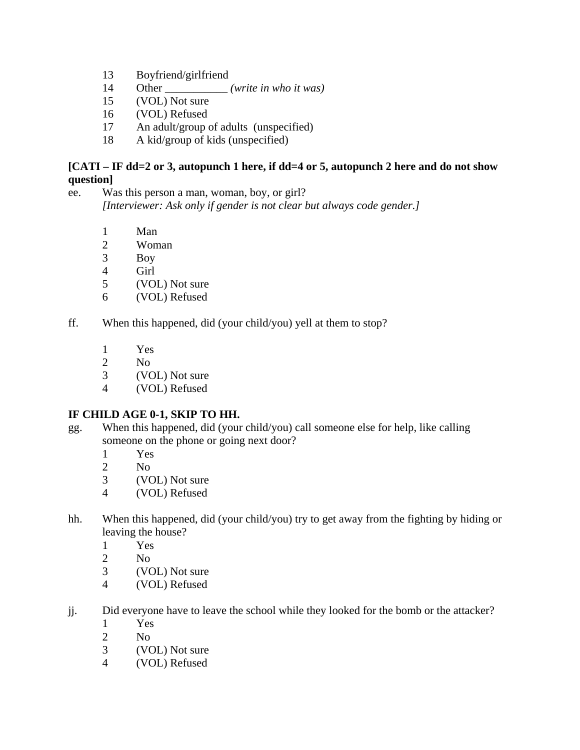- 13 Boyfriend/girlfriend
- 14 Other \_\_\_\_\_\_\_\_\_\_\_ *(write in who it was)*
- 15 (VOL) Not sure
- 16 (VOL) Refused
- 17 An adult/group of adults (unspecified)
- 18 A kid/group of kids (unspecified)

## **[CATI – IF dd=2 or 3, autopunch 1 here, if dd=4 or 5, autopunch 2 here and do not show question]**

- ee. Was this person a man, woman, boy, or girl? *[Interviewer: Ask only if gender is not clear but always code gender.]* 
	- 1 Man
	- 2 Woman<br>3 Boy
	- Boy
	- 4 Girl
	- 5 (VOL) Not sure
	- 6 (VOL) Refused
- ff. When this happened, did (your child/you) yell at them to stop?
	- 1 Yes
	- 2 No
	- 3 (VOL) Not sure
	- 4 (VOL) Refused

## **IF CHILD AGE 0-1, SKIP TO HH.**

- gg. When this happened, did (your child/you) call someone else for help, like calling someone on the phone or going next door?
	- 1 Yes
	- 2 No
	- 3 (VOL) Not sure
	- 4 (VOL) Refused
- hh. When this happened, did (your child/you) try to get away from the fighting by hiding or leaving the house?
	- 1 Yes
	- 2  $N<sub>0</sub>$
	- 3 (VOL) Not sure
	- 4 (VOL) Refused
- jj. Did everyone have to leave the school while they looked for the bomb or the attacker?
	- 1 Yes
	- 2 No
	- 3 (VOL) Not sure
	- 4 (VOL) Refused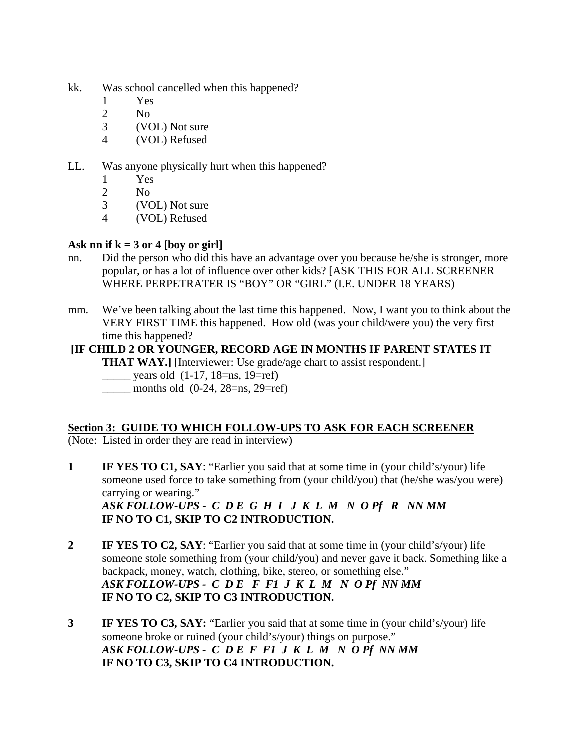- kk. Was school cancelled when this happened?
	- 1 Yes
	- 2 No
	- 3 (VOL) Not sure
	- 4 (VOL) Refused

## LL. Was anyone physically hurt when this happened?

- 1 Yes
- 2 No
- 3 (VOL) Not sure
- 4 (VOL) Refused

# Ask nn if  $k = 3$  or 4 [boy or girl]

- nn. Did the person who did this have an advantage over you because he/she is stronger, more popular, or has a lot of influence over other kids? [ASK THIS FOR ALL SCREENER WHERE PERPETRATER IS "BOY" OR "GIRL" (I.E. UNDER 18 YEARS)
- mm. We've been talking about the last time this happened. Now, I want you to think about the VERY FIRST TIME this happened. How old (was your child/were you) the very first time this happened?

# **[IF CHILD 2 OR YOUNGER, RECORD AGE IN MONTHS IF PARENT STATES IT**

**THAT WAY.**] [Interviewer: Use grade/age chart to assist respondent.]

- years old  $(1-17, 18=ns, 19=ref)$
- $\frac{\text{months old (0-24, 28=ns, 29=ref)}}{$

## **Section 3: GUIDE TO WHICH FOLLOW-UPS TO ASK FOR EACH SCREENER**

(Note: Listed in order they are read in interview)

- **1 IF YES TO C1, SAY:** "Earlier you said that at some time in (your child's/your) life someone used force to take something from (your child/you) that (he/she was/you were) carrying or wearing." *ASK FOLLOW-UPS - C D E G H I J K L M N O Pf R NN MM*  **IF NO TO C1, SKIP TO C2 INTRODUCTION.**
- **2** IF YES TO C2, SAY: "Earlier you said that at some time in (your child's/your) life someone stole something from (your child/you) and never gave it back. Something like a backpack, money, watch, clothing, bike, stereo, or something else." *ASK FOLLOW-UPS - C D E F F1 J K L M N O Pf NN MM*   **IF NO TO C2, SKIP TO C3 INTRODUCTION.**
- **3 IF YES TO C3, SAY:** "Earlier you said that at some time in (your child's/your) life someone broke or ruined (your child's/your) things on purpose." *ASK FOLLOW-UPS - C D E F F1 J K L M N O Pf NN MM*   **IF NO TO C3, SKIP TO C4 INTRODUCTION.**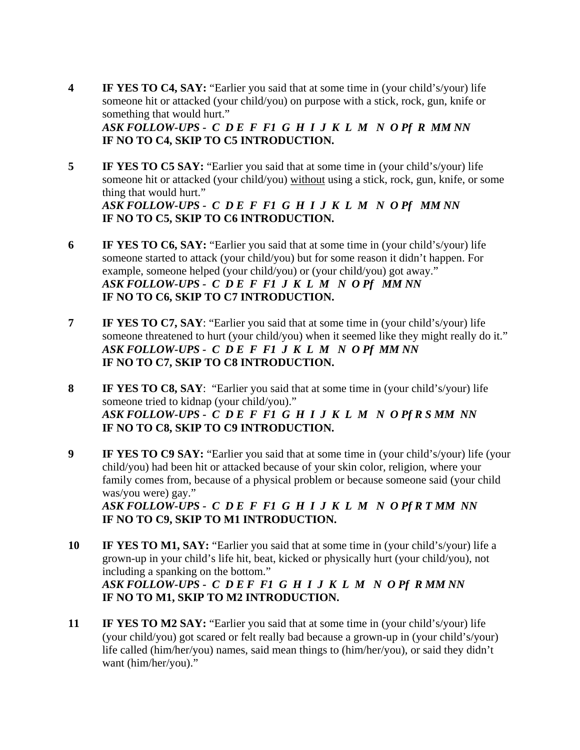- **4** IF YES TO C4, SAY: "Earlier you said that at some time in (your child's/your) life someone hit or attacked (your child/you) on purpose with a stick, rock, gun, knife or something that would hurt." *ASK FOLLOW-UPS - C D E F F1 G H I J K L M N O Pf R MM NN*   **IF NO TO C4, SKIP TO C5 INTRODUCTION.**
- **5** IF YES TO C5 SAY: "Earlier you said that at some time in (your child's/your) life someone hit or attacked (your child/you) without using a stick, rock, gun, knife, or some thing that would hurt." *ASK FOLLOW-UPS - C D E F F1 G H I J K L M N O Pf MM NN*   **IF NO TO C5, SKIP TO C6 INTRODUCTION.**
- **6 IF YES TO C6, SAY:** "Earlier you said that at some time in (your child's/your) life someone started to attack (your child/you) but for some reason it didn't happen. For example, someone helped (your child/you) or (your child/you) got away." *ASK FOLLOW-UPS - C D E F F1 J K L M N O Pf MM NN*   **IF NO TO C6, SKIP TO C7 INTRODUCTION.**
- **7** IF YES TO C7, SAY: "Earlier you said that at some time in (your child's/your) life someone threatened to hurt (your child/you) when it seemed like they might really do it." *ASK FOLLOW-UPS - C D E F F1 J K L M N O Pf MM NN*   **IF NO TO C7, SKIP TO C8 INTRODUCTION.**
- **8 IF YES TO C8, SAY**: "Earlier you said that at some time in (your child's/your) life someone tried to kidnap (your child/you)." *ASK FOLLOW-UPS - C D E F F1 G H I J K L M N O Pf R S MM NN*   **IF NO TO C8, SKIP TO C9 INTRODUCTION.**
- **9** IF YES TO C9 SAY: "Earlier you said that at some time in (your child's/your) life (your child/you) had been hit or attacked because of your skin color, religion, where your family comes from, because of a physical problem or because someone said (your child was/you were) gay." *ASK FOLLOW-UPS - C D E F F1 G H I J K L M N O Pf R T MM NN*   **IF NO TO C9, SKIP TO M1 INTRODUCTION.**
- **10 IF YES TO M1, SAY:** "Earlier you said that at some time in (your child's/your) life a grown-up in your child's life hit, beat, kicked or physically hurt (your child/you), not including a spanking on the bottom." *ASK FOLLOW-UPS - C D E F F1 G H I J K L M N O Pf R MM NN*   **IF NO TO M1, SKIP TO M2 INTRODUCTION.**
- **11** IF YES TO M2 SAY: "Earlier you said that at some time in (your child's/your) life (your child/you) got scared or felt really bad because a grown-up in (your child's/your) life called (him/her/you) names, said mean things to (him/her/you), or said they didn't want (him/her/you)."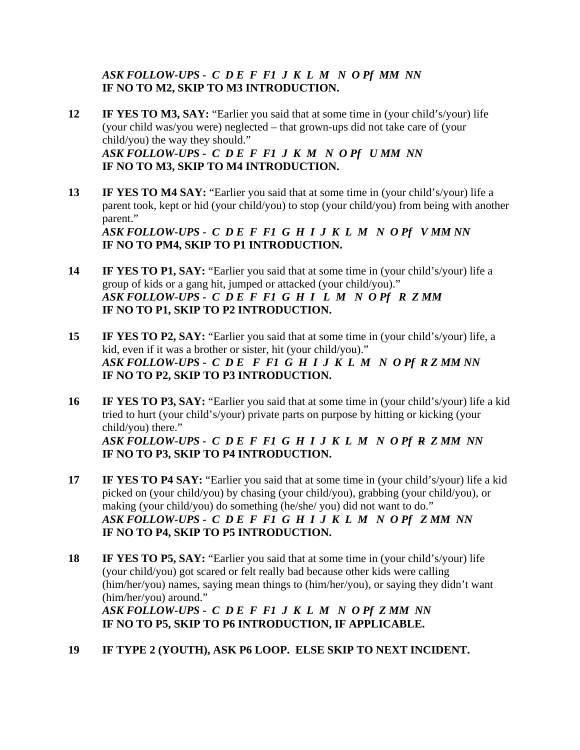## *ASK FOLLOW-UPS - C D E F F1 J K L M N O Pf MM NN*   **IF NO TO M2, SKIP TO M3 INTRODUCTION.**

- **12** IF YES TO M3, SAY: "Earlier you said that at some time in (your child's/your) life (your child was/you were) neglected – that grown-ups did not take care of (your child/you) the way they should." *ASK FOLLOW-UPS - C D E F F1 J K M N O Pf U MM NN*   **IF NO TO M3, SKIP TO M4 INTRODUCTION.**
- **13** IF YES TO M4 SAY: "Earlier you said that at some time in (your child's/your) life a parent took, kept or hid (your child/you) to stop (your child/you) from being with another parent." *ASK FOLLOW-UPS - C D E F F1 G H I J K L M N O Pf V MM NN*   **IF NO TO PM4, SKIP TO P1 INTRODUCTION.**
- **14** IF YES TO P1, SAY: "Earlier you said that at some time in (your child's/your) life a group of kids or a gang hit, jumped or attacked (your child/you)." *ASK FOLLOW-UPS - C D E F F1 G H I L M N O Pf R Z MM*   **IF NO TO P1, SKIP TO P2 INTRODUCTION.**
- **15 IF YES TO P2, SAY:** "Earlier you said that at some time in (your child's/your) life, a kid, even if it was a brother or sister, hit (your child/you)." *ASK FOLLOW-UPS - C D E F F1 G H I J K L M N O Pf R Z MM NN*   **IF NO TO P2, SKIP TO P3 INTRODUCTION.**
- **16 IF YES TO P3, SAY:** "Earlier you said that at some time in (your child's/your) life a kid tried to hurt (your child's/your) private parts on purpose by hitting or kicking (your child/you) there." *ASK FOLLOW-UPS - C D E F F1 G H I J K L M N O Pf R Z MM NN*   **IF NO TO P3, SKIP TO P4 INTRODUCTION.**
- **17** IF YES TO P4 SAY: "Earlier you said that at some time in (your child's/your) life a kid picked on (your child/you) by chasing (your child/you), grabbing (your child/you), or making (your child/you) do something (he/she/ you) did not want to do." *ASK FOLLOW-UPS - C D E F F1 G H I J K L M N O Pf Z MM NN*   **IF NO TO P4, SKIP TO P5 INTRODUCTION.**
- **18 IF YES TO P5, SAY:** "Earlier you said that at some time in (your child's/your) life (your child/you) got scared or felt really bad because other kids were calling (him/her/you) names, saying mean things to (him/her/you), or saying they didn't want (him/her/you) around." *ASK FOLLOW-UPS - C D E F F1 J K L M N O Pf Z MM NN*   **IF NO TO P5, SKIP TO P6 INTRODUCTION, IF APPLICABLE.**
- **19 IF TYPE 2 (YOUTH), ASK P6 LOOP. ELSE SKIP TO NEXT INCIDENT.**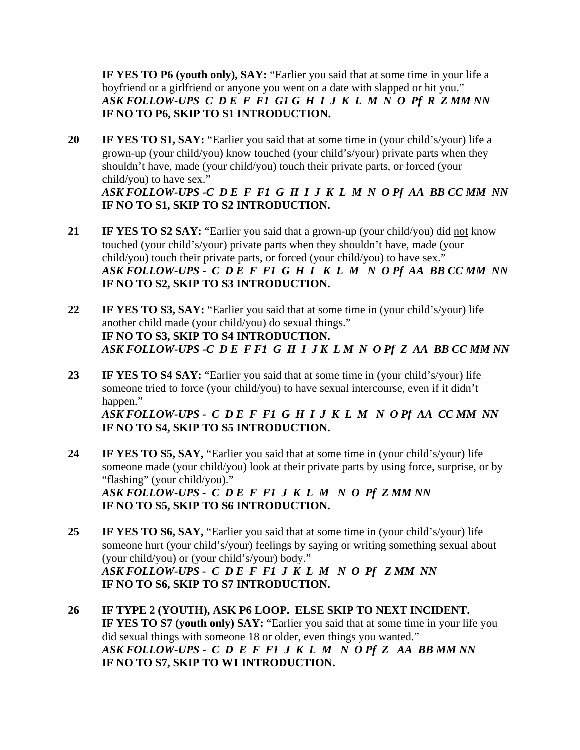**IF YES TO P6 (youth only), SAY:** "Earlier you said that at some time in your life a boyfriend or a girlfriend or anyone you went on a date with slapped or hit you." *ASK FOLLOW-UPS C D E F F1 G1 G H I J K L M N O Pf R Z MM NN*   **IF NO TO P6, SKIP TO S1 INTRODUCTION.** 

**20 IF YES TO S1, SAY:** "Earlier you said that at some time in (your child's/your) life a grown-up (your child/you) know touched (your child's/your) private parts when they shouldn't have, made (your child/you) touch their private parts, or forced (your child/you) to have sex." *ASK FOLLOW-UPS -C D E F F1 G H I J K L M N O Pf AA BB CC MM NN* 

 **IF NO TO S1, SKIP TO S2 INTRODUCTION.** 

- **21 IF YES TO S2 SAY:** "Earlier you said that a grown-up (your child/you) did not know touched (your child's/your) private parts when they shouldn't have, made (your child/you) touch their private parts, or forced (your child/you) to have sex." *ASK FOLLOW-UPS - C D E F F1 G H I K L M N O Pf AA BB CC MM NN*   **IF NO TO S2, SKIP TO S3 INTRODUCTION.**
- **22 IF YES TO S3, SAY:** "Earlier you said that at some time in (your child's/your) life another child made (your child/you) do sexual things."  **IF NO TO S3, SKIP TO S4 INTRODUCTION.**  *ASK FOLLOW-UPS -C D E F F1 G H I J K L M N O Pf Z AA BB CC MM NN*
- **23 IF YES TO S4 SAY:** "Earlier you said that at some time in (your child's/your) life someone tried to force (your child/you) to have sexual intercourse, even if it didn't happen." *ASK FOLLOW-UPS - C D E F F1 G H I J K L M N O Pf AA CC MM NN*   **IF NO TO S4, SKIP TO S5 INTRODUCTION.**
- **24 IF YES TO S5, SAY,** "Earlier you said that at some time in (your child's/your) life someone made (your child/you) look at their private parts by using force, surprise, or by "flashing" (your child/you)." *ASK FOLLOW-UPS - C D E F F1 J K L M N O Pf Z MM NN*   **IF NO TO S5, SKIP TO S6 INTRODUCTION.**
- **25 IF YES TO S6, SAY,** "Earlier you said that at some time in (your child's/your) life someone hurt (your child's/your) feelings by saying or writing something sexual about (your child/you) or (your child's/your) body." *ASK FOLLOW-UPS - C D E F F1 J K L M N O Pf Z MM NN*   **IF NO TO S6, SKIP TO S7 INTRODUCTION.**
- **26 IF TYPE 2 (YOUTH), ASK P6 LOOP. ELSE SKIP TO NEXT INCIDENT. IF YES TO S7 (youth only) SAY:** "Earlier you said that at some time in your life you did sexual things with someone 18 or older, even things you wanted." *ASK FOLLOW-UPS - C D E F F1 J K L M N O Pf Z AA BB MM NN*   **IF NO TO S7, SKIP TO W1 INTRODUCTION.**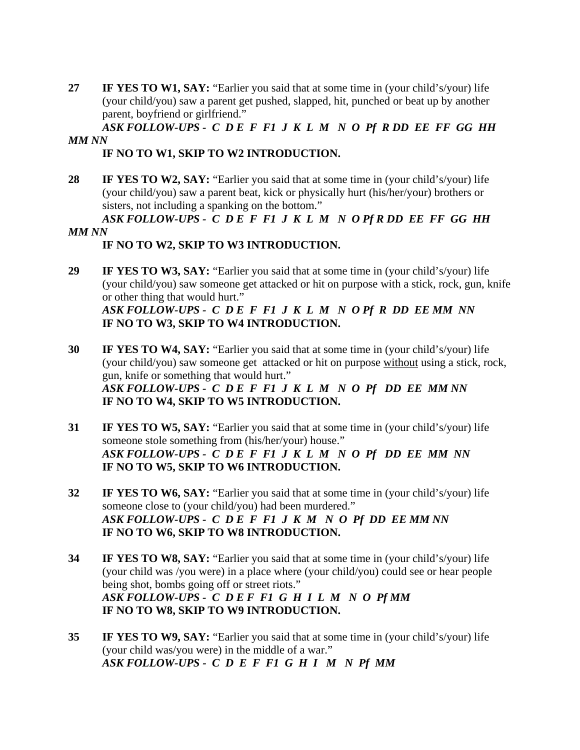**27 IF YES TO W1, SAY:** "Earlier you said that at some time in (your child's/your) life (your child/you) saw a parent get pushed, slapped, hit, punched or beat up by another parent, boyfriend or girlfriend."

## *ASK FOLLOW-UPS - C D E F F1 J K L M N O Pf R DD EE FF GG HH MM NN*

## **IF NO TO W1, SKIP TO W2 INTRODUCTION.**

28 **IF YES TO W2, SAY:** "Earlier you said that at some time in (your child's/your) life (your child/you) saw a parent beat, kick or physically hurt (his/her/your) brothers or sisters, not including a spanking on the bottom."

### *ASK FOLLOW-UPS - C D E F F1 J K L M N O Pf R DD EE FF GG HH MM NN*

# **IF NO TO W2, SKIP TO W3 INTRODUCTION.**

**29 IF YES TO W3, SAY:** "Earlier you said that at some time in (your child's/your) life (your child/you) saw someone get attacked or hit on purpose with a stick, rock, gun, knife or other thing that would hurt." *ASK FOLLOW-UPS - C D E F F1 J K L M N O Pf R DD EE MM NN* 

 **IF NO TO W3, SKIP TO W4 INTRODUCTION.** 

- **30 IF YES TO W4, SAY:** "Earlier you said that at some time in (your child's/your) life (your child/you) saw someone get attacked or hit on purpose without using a stick, rock, gun, knife or something that would hurt." *ASK FOLLOW-UPS - C D E F F1 J K L M N O Pf DD EE MM NN*   **IF NO TO W4, SKIP TO W5 INTRODUCTION.**
- **31 IF YES TO W5, SAY:** "Earlier you said that at some time in (your child's/your) life someone stole something from (his/her/your) house." *ASK FOLLOW-UPS - C D E F F1 J K L M N O Pf DD EE MM NN*   **IF NO TO W5, SKIP TO W6 INTRODUCTION.**
- **32** IF YES TO W6, SAY: "Earlier you said that at some time in (your child's/your) life someone close to (your child/you) had been murdered." *ASK FOLLOW-UPS - C D E F F1 J K M N O Pf DD EE MM NN*   **IF NO TO W6, SKIP TO W8 INTRODUCTION.**
- **34 IF YES TO W8, SAY:** "Earlier you said that at some time in (your child's/your) life (your child was /you were) in a place where (your child/you) could see or hear people being shot, bombs going off or street riots." *ASK FOLLOW-UPS - C D E F F1 G H I L M N O Pf MM*   **IF NO TO W8, SKIP TO W9 INTRODUCTION.**
- **35 IF YES TO W9, SAY:** "Earlier you said that at some time in (your child's/your) life (your child was/you were) in the middle of a war." *ASK FOLLOW-UPS - C D E F F1 G H I M N Pf MM*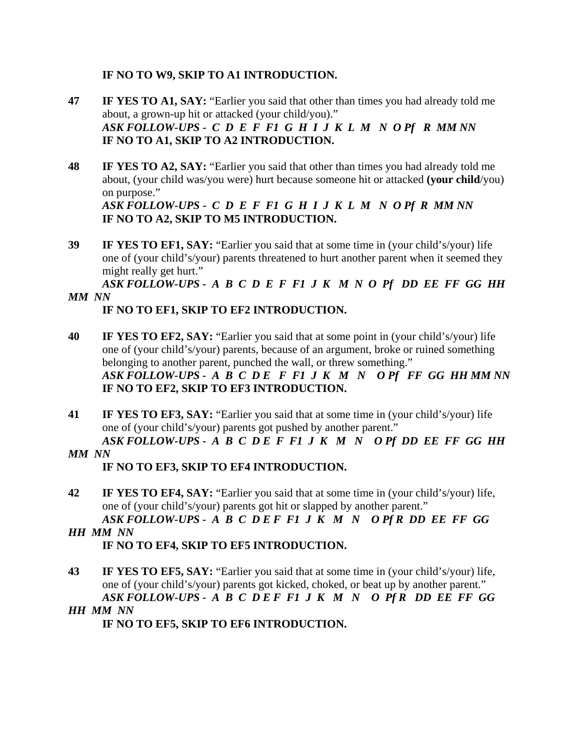## **IF NO TO W9, SKIP TO A1 INTRODUCTION.**

- **47 IF YES TO A1, SAY:** "Earlier you said that other than times you had already told me about, a grown-up hit or attacked (your child/you)." *ASK FOLLOW-UPS - C D E F F1 G H I J K L M N O Pf R MM NN*   **IF NO TO A1, SKIP TO A2 INTRODUCTION.**
- **48 IF YES TO A2, SAY:** "Earlier you said that other than times you had already told me about, (your child was/you were) hurt because someone hit or attacked **(your child**/you) on purpose."

*ASK FOLLOW-UPS - C D E F F1 G H I J K L M N O Pf R MM NN*   **IF NO TO A2, SKIP TO M5 INTRODUCTION.** 

**39 IF YES TO EF1, SAY:** "Earlier you said that at some time in (your child's/your) life one of (your child's/your) parents threatened to hurt another parent when it seemed they might really get hurt."

*ASK FOLLOW-UPS - A B C D E F F1 J K M N O Pf DD EE FF GG HH MM NN* 

## **IF NO TO EF1, SKIP TO EF2 INTRODUCTION.**

- **40 IF YES TO EF2, SAY:** "Earlier you said that at some point in (your child's/your) life one of (your child's/your) parents, because of an argument, broke or ruined something belonging to another parent, punched the wall, or threw something." *ASK FOLLOW-UPS - A B C D E F F1 J K M N O Pf FF GG HH MM NN*   **IF NO TO EF2, SKIP TO EF3 INTRODUCTION.**
- **41 IF YES TO EF3, SAY:** "Earlier you said that at some time in (your child's/your) life one of (your child's/your) parents got pushed by another parent."

*ASK FOLLOW-UPS - A B C D E F F1 J K M N O Pf DD EE FF GG HH MM NN* 

## **IF NO TO EF3, SKIP TO EF4 INTRODUCTION.**

- **42 IF YES TO EF4, SAY:** "Earlier you said that at some time in (your child's/your) life, one of (your child's/your) parents got hit or slapped by another parent." *ASK FOLLOW-UPS - A B C D E F F1 J K M N O Pf R DD EE FF GG*
- *HH MM NN*   **IF NO TO EF4, SKIP TO EF5 INTRODUCTION.**
- **43** IF YES TO EF5, SAY: "Earlier you said that at some time in (your child's/your) life, one of (your child's/your) parents got kicked, choked, or beat up by another parent." *ASK FOLLOW-UPS - A B C D E F F1 J K M N O Pf R DD EE FF GG HH MM NN*

 **IF NO TO EF5, SKIP TO EF6 INTRODUCTION.**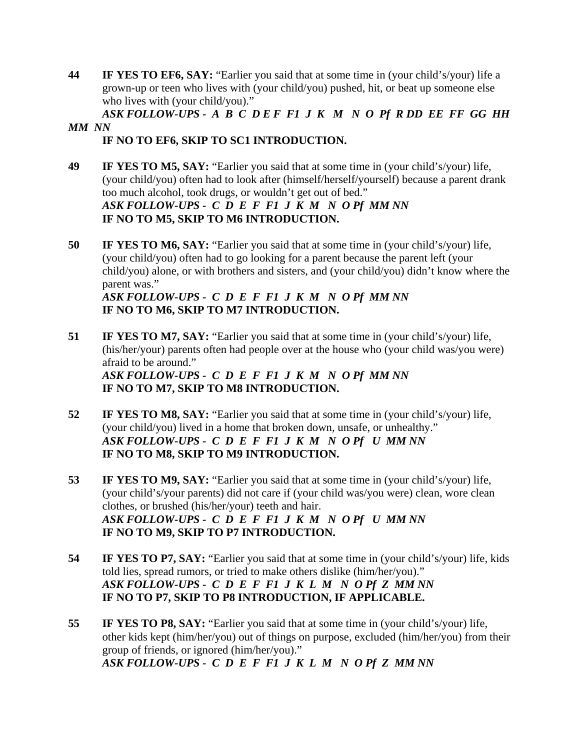**44 IF YES TO EF6, SAY:** "Earlier you said that at some time in (your child's/your) life a grown-up or teen who lives with (your child/you) pushed, hit, or beat up someone else who lives with (your child/you)."

*ASK FOLLOW-UPS - A B C D E F F1 J K M N O Pf R DD EE FF GG HH MM NN* 

## **IF NO TO EF6, SKIP TO SC1 INTRODUCTION.**

- **49 IF YES TO M5, SAY:** "Earlier you said that at some time in (your child's/your) life, (your child/you) often had to look after (himself/herself/yourself) because a parent drank too much alcohol, took drugs, or wouldn't get out of bed." *ASK FOLLOW-UPS - C D E F F1 J K M N O Pf MM NN*   **IF NO TO M5, SKIP TO M6 INTRODUCTION.**
- **50 IF YES TO M6, SAY:** "Earlier you said that at some time in (your child's/your) life, (your child/you) often had to go looking for a parent because the parent left (your child/you) alone, or with brothers and sisters, and (your child/you) didn't know where the parent was."

*ASK FOLLOW-UPS - C D E F F1 J K M N O Pf MM NN*   **IF NO TO M6, SKIP TO M7 INTRODUCTION.** 

- **51 IF YES TO M7, SAY:** "Earlier you said that at some time in (your child's/your) life, (his/her/your) parents often had people over at the house who (your child was/you were) afraid to be around." *ASK FOLLOW-UPS - C D E F F1 J K M N O Pf MM NN*   **IF NO TO M7, SKIP TO M8 INTRODUCTION.**
- **52** IF YES TO M8, SAY: "Earlier you said that at some time in (your child's/your) life, (your child/you) lived in a home that broken down, unsafe, or unhealthy." *ASK FOLLOW-UPS - C D E F F1 J K M N O Pf U MM NN*   **IF NO TO M8, SKIP TO M9 INTRODUCTION.**
- **53** IF YES TO M9, SAY: "Earlier you said that at some time in (your child's/your) life, (your child's/your parents) did not care if (your child was/you were) clean, wore clean clothes, or brushed (his/her/your) teeth and hair. *ASK FOLLOW-UPS - C D E F F1 J K M N O Pf U MM NN*   **IF NO TO M9, SKIP TO P7 INTRODUCTION.**
- **54** IF YES TO P7, SAY: "Earlier you said that at some time in (your child's/your) life, kids told lies, spread rumors, or tried to make others dislike (him/her/you)." *ASK FOLLOW-UPS - C D E F F1 J K L M N O Pf Z MM NN*   **IF NO TO P7, SKIP TO P8 INTRODUCTION, IF APPLICABLE.**
- **55 IF YES TO P8, SAY:** "Earlier you said that at some time in (your child's/your) life, other kids kept (him/her/you) out of things on purpose, excluded (him/her/you) from their group of friends, or ignored (him/her/you)." *ASK FOLLOW-UPS - C D E F F1 J K L M N O Pf Z MM NN*